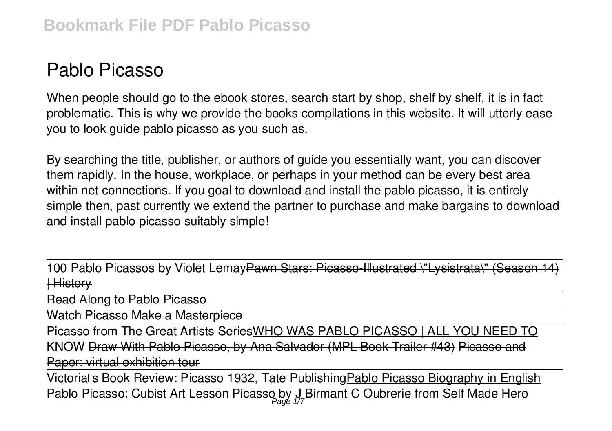# **Pablo Picasso**

When people should go to the ebook stores, search start by shop, shelf by shelf, it is in fact problematic. This is why we provide the books compilations in this website. It will utterly ease you to look guide **pablo picasso** as you such as.

By searching the title, publisher, or authors of guide you essentially want, you can discover them rapidly. In the house, workplace, or perhaps in your method can be every best area within net connections. If you goal to download and install the pablo picasso, it is entirely simple then, past currently we extend the partner to purchase and make bargains to download and install pablo picasso suitably simple!

100 Pablo Picassos by Violet LemayPawn Stars: Picasso-Illustrated \"Lysistrata\" (Season | History

Read Along to Pablo Picasso

Watch Picasso Make a Masterpiece

Picasso from The Great Artists SeriesWHO WAS PABLO PICASSO | ALL YOU NEED TO KNOW Draw With Pablo Picasso, by Ana Salvador (MPL Book Trailer #43) Picasso and Paper: virtual exhibition tour

Victorialls Book Review: Picasso 1932, Tate Publishing Pablo Picasso Biography in English Pablo Picasso: Cubist Art Lesson **Picasso by J Birmant C Oubrerie from Self Made Hero** Page 1/7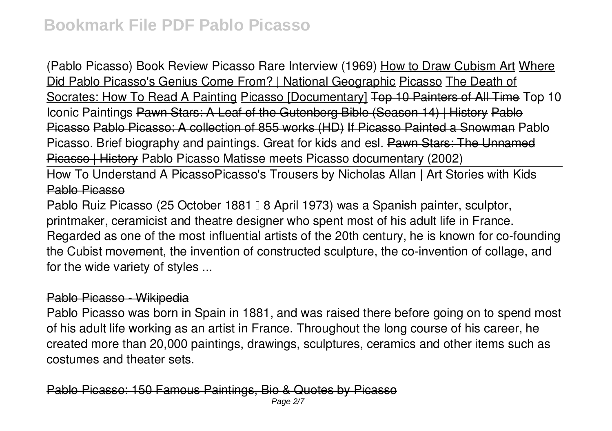**(Pablo Picasso) Book Review Picasso Rare Interview (1969)** How to Draw Cubism Art Where Did Pablo Picasso's Genius Come From? | National Geographic Picasso The Death of Socrates: How To Read A Painting Picasso [Documentary] Top 10 Painters of All Time **Top 10 Iconic Paintings** Pawn Stars: A Leaf of the Gutenberg Bible (Season 14) | History Pablo Picasso Pablo Picasso: A collection of 855 works (HD) If Picasso Painted a Snowman **Pablo Picasso. Brief biography and paintings. Great for kids and esl.** Pawn Stars: The Unnamed Picasso | History *Pablo Picasso Matisse meets Picasso documentary (2002)*

How To Understand A Picasso*Picasso's Trousers by Nicholas Allan | Art Stories with Kids* Pablo Picasso

Pablo Ruiz Picasso (25 October 1881 | 8 April 1973) was a Spanish painter, sculptor, printmaker, ceramicist and theatre designer who spent most of his adult life in France. Regarded as one of the most influential artists of the 20th century, he is known for co-founding the Cubist movement, the invention of constructed sculpture, the co-invention of collage, and for the wide variety of styles ...

## Pablo Picasso - Wikipedia

Pablo Picasso was born in Spain in 1881, and was raised there before going on to spend most of his adult life working as an artist in France. Throughout the long course of his career, he created more than 20,000 paintings, drawings, sculptures, ceramics and other items such as costumes and theater sets.

Pablo Picasso: 150 Famous Paintings, Bio & Quotes by Pica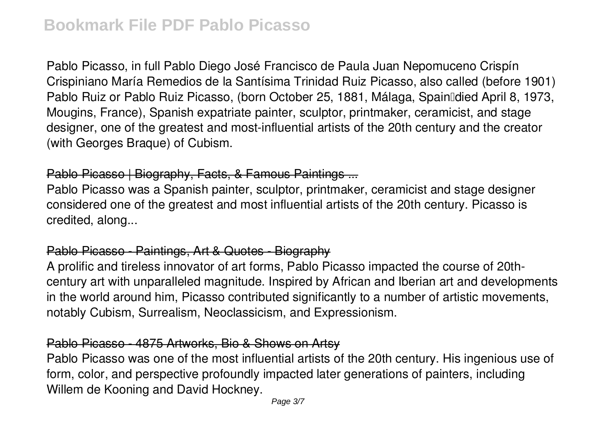Pablo Picasso, in full Pablo Diego José Francisco de Paula Juan Nepomuceno Crispín Crispiniano María Remedios de la Santísima Trinidad Ruiz Picasso, also called (before 1901) Pablo Ruiz or Pablo Ruiz Picasso, (born October 25, 1881, Málaga, SpainlIdied April 8, 1973, Mougins, France), Spanish expatriate painter, sculptor, printmaker, ceramicist, and stage designer, one of the greatest and most-influential artists of the 20th century and the creator (with Georges Braque) of Cubism.

## Pablo Picasso | Biography, Facts, & Famous Paintings ...

Pablo Picasso was a Spanish painter, sculptor, printmaker, ceramicist and stage designer considered one of the greatest and most influential artists of the 20th century. Picasso is credited, along...

# Pablo Picasso - Paintings, Art & Quotes - Biography

A prolific and tireless innovator of art forms, Pablo Picasso impacted the course of 20thcentury art with unparalleled magnitude. Inspired by African and Iberian art and developments in the world around him, Picasso contributed significantly to a number of artistic movements, notably Cubism, Surrealism, Neoclassicism, and Expressionism.

# Pablo Picasso - 4875 Artworks, Bio & Shows on Artsy

Pablo Picasso was one of the most influential artists of the 20th century. His ingenious use of form, color, and perspective profoundly impacted later generations of painters, including Willem de Kooning and David Hockney.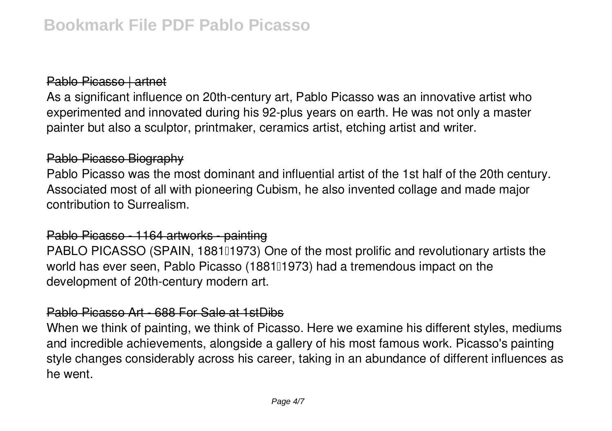## Pablo Picasso | artnet

As a significant influence on 20th-century art, Pablo Picasso was an innovative artist who experimented and innovated during his 92-plus years on earth. He was not only a master painter but also a sculptor, printmaker, ceramics artist, etching artist and writer.

#### Pablo Picasso Biography

Pablo Picasso was the most dominant and influential artist of the 1st half of the 20th century. Associated most of all with pioneering Cubism, he also invented collage and made major contribution to Surrealism.

#### Pablo Picasso - 1164 artworks - painting

PABLO PICASSO (SPAIN, 1881[1973] One of the most prolific and revolutionary artists the world has ever seen, Pablo Picasso (188101973) had a tremendous impact on the development of 20th-century modern art.

#### Pablo Picasso Art - 688 For Sale at 1stDibs

When we think of painting, we think of Picasso. Here we examine his different styles, mediums and incredible achievements, alongside a gallery of his most famous work. Picasso's painting style changes considerably across his career, taking in an abundance of different influences as he went.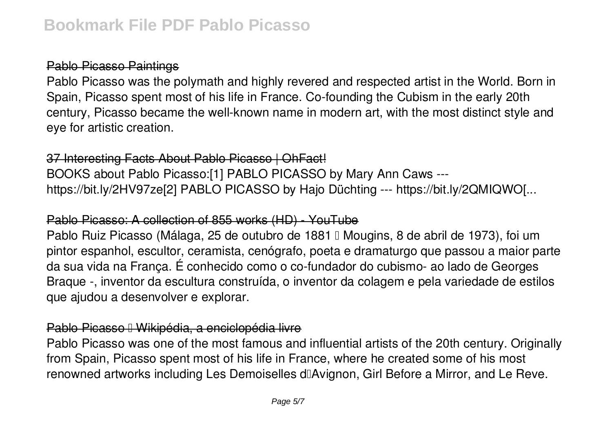# Pablo Picasso Paintings

Pablo Picasso was the polymath and highly revered and respected artist in the World. Born in Spain, Picasso spent most of his life in France. Co-founding the Cubism in the early 20th century, Picasso became the well-known name in modern art, with the most distinct style and eye for artistic creation.

## 37 Interesting Facts About Pablo Picasso | OhFact!

BOOKS about Pablo Picasso:[1] PABLO PICASSO by Mary Ann Caws -- https://bit.ly/2HV97ze[2] PABLO PICASSO by Hajo Düchting --- https://bit.ly/2QMIQWO[...

## Pablo Picasso: A collection of 855 works (HD) - YouTube

Pablo Ruiz Picasso (Málaga, 25 de outubro de 1881 || Mougins, 8 de abril de 1973), foi um pintor espanhol, escultor, ceramista, cenógrafo, poeta e dramaturgo que passou a maior parte da sua vida na França. É conhecido como o co-fundador do cubismo- ao lado de Georges Braque -, inventor da escultura construída, o inventor da colagem e pela variedade de estilos que ajudou a desenvolver e explorar.

# Pablo Picasso <sup>II</sup> Wikipédia, a enciclopédia livre

Pablo Picasso was one of the most famous and influential artists of the 20th century. Originally from Spain, Picasso spent most of his life in France, where he created some of his most renowned artworks including Les Demoiselles d'Avignon, Girl Before a Mirror, and Le Reve.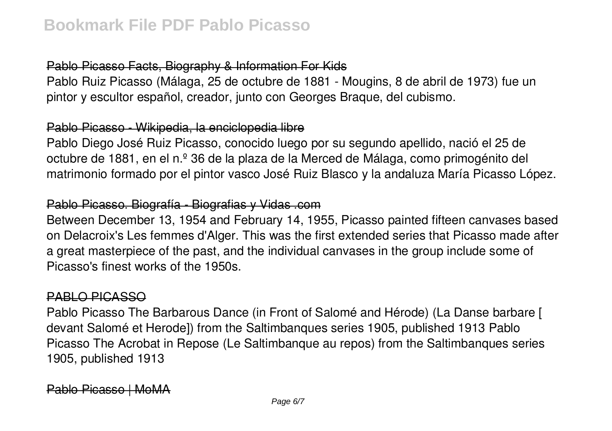# Pablo Picasso Facts, Biography & Information For Kids

Pablo Ruiz Picasso (Málaga, 25 de octubre de 1881 - Mougins, 8 de abril de 1973) fue un pintor y escultor español, creador, junto con Georges Braque, del cubismo.

# Pablo Picasso - Wikipedia, la enciclopedia libre

Pablo Diego José Ruiz Picasso, conocido luego por su segundo apellido, nació el 25 de octubre de 1881, en el n.º 36 de la plaza de la Merced de Málaga, como primogénito del matrimonio formado por el pintor vasco José Ruiz Blasco y la andaluza María Picasso López.

# Pablo Picasso. Biografía - Biografias y Vidas .com

Between December 13, 1954 and February 14, 1955, Picasso painted fifteen canvases based on Delacroix's Les femmes d'Alger. This was the first extended series that Picasso made after a great masterpiece of the past, and the individual canvases in the group include some of Picasso's finest works of the 1950s.

## PABLO PICASSO

Pablo Picasso The Barbarous Dance (in Front of Salomé and Hérode) (La Danse barbare [ devant Salomé et Herode]) from the Saltimbanques series 1905, published 1913 Pablo Picasso The Acrobat in Repose (Le Saltimbanque au repos) from the Saltimbanques series 1905, published 1913

Pablo Picasso | MoMA